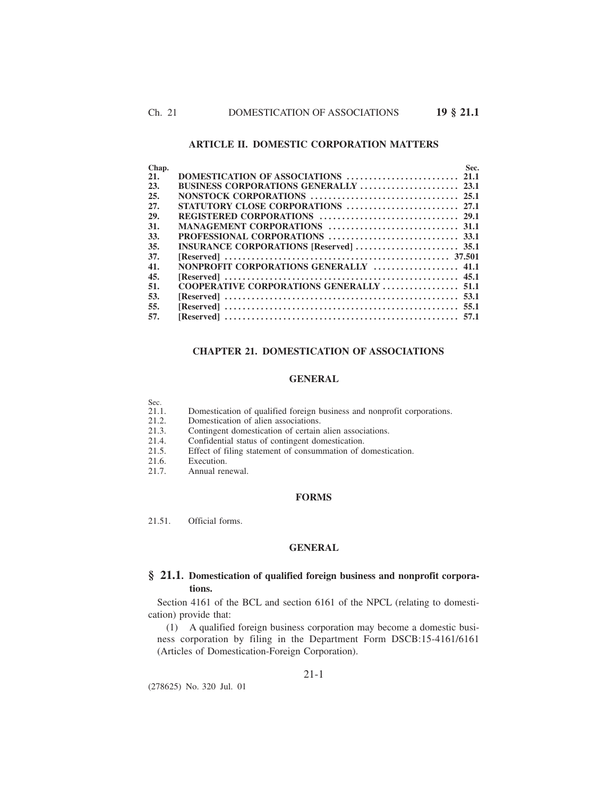# **ARTICLE II. DOMESTIC CORPORATION MATTERS**

| Chap. |                                        | Sec. |
|-------|----------------------------------------|------|
| 21.   |                                        |      |
| 23.   |                                        |      |
| 25.   |                                        |      |
| 27.   |                                        |      |
| 29.   |                                        |      |
| 31.   |                                        |      |
| 33.   |                                        |      |
| 35.   |                                        |      |
| 37.   |                                        |      |
| 41.   | NONPROFIT CORPORATIONS GENERALLY  41.1 |      |
| 45.   |                                        |      |
| 51.   |                                        |      |
| 53.   |                                        |      |
| 55.   |                                        |      |
| 57.   |                                        |      |
|       |                                        |      |

# **CHAPTER 21. DOMESTICATION OF ASSOCIATIONS**

## **GENERAL**

- Sec.<br>21.1. 21.1. Domestication of qualified foreign business and nonprofit corporations.<br>21.2. Domestication of alien associations.
- 21.2. Domestication of alien associations.<br>21.3. Contingent domestication of certain
- 21.3. Contingent domestication of certain alien associations.<br>21.4. Confidential status of contingent domestication.
- Confidential status of contingent domestication.
- 21.5. Effect of filing statement of consummation of domestication.
- 21.6. Execution.<br>21.7. Annual ren
- Annual renewal.

# **FORMS**

21.51. Official forms.

# **GENERAL**

# **§ 21.1. Domestication of qualified foreign business and nonprofit corporations.**

Section 4161 of the BCL and section 6161 of the NPCL (relating to domestication) provide that:

(1) A qualified foreign business corporation may become a domestic business corporation by filing in the Department Form DSCB:15-4161/6161 (Articles of Domestication-Foreign Corporation).

(278625) No. 320 Jul. 01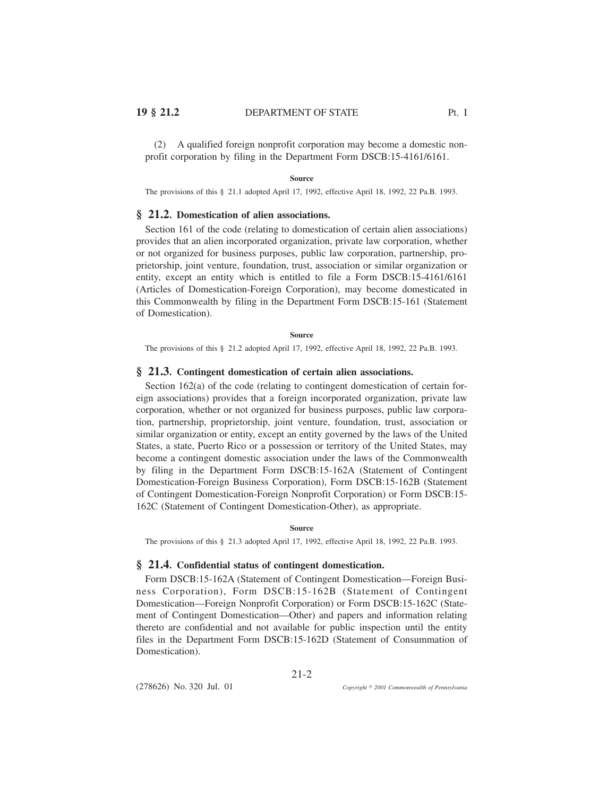(2) A qualified foreign nonprofit corporation may become a domestic nonprofit corporation by filing in the Department Form DSCB:15-4161/6161.

#### **Source**

The provisions of this § 21.1 adopted April 17, 1992, effective April 18, 1992, 22 Pa.B. 1993.

## **§ 21.2. Domestication of alien associations.**

Section 161 of the code (relating to domestication of certain alien associations) provides that an alien incorporated organization, private law corporation, whether or not organized for business purposes, public law corporation, partnership, proprietorship, joint venture, foundation, trust, association or similar organization or entity, except an entity which is entitled to file a Form DSCB:15-4161/6161 (Articles of Domestication-Foreign Corporation), may become domesticated in this Commonwealth by filing in the Department Form DSCB:15-161 (Statement of Domestication).

#### **Source**

The provisions of this § 21.2 adopted April 17, 1992, effective April 18, 1992, 22 Pa.B. 1993.

### **§ 21.3. Contingent domestication of certain alien associations.**

Section 162(a) of the code (relating to contingent domestication of certain foreign associations) provides that a foreign incorporated organization, private law corporation, whether or not organized for business purposes, public law corporation, partnership, proprietorship, joint venture, foundation, trust, association or similar organization or entity, except an entity governed by the laws of the United States, a state, Puerto Rico or a possession or territory of the United States, may become a contingent domestic association under the laws of the Commonwealth by filing in the Department Form DSCB:15-162A (Statement of Contingent Domestication-Foreign Business Corporation), Form DSCB:15-162B (Statement of Contingent Domestication-Foreign Nonprofit Corporation) or Form DSCB:15- 162C (Statement of Contingent Domestication-Other), as appropriate.

#### **Source**

The provisions of this § 21.3 adopted April 17, 1992, effective April 18, 1992, 22 Pa.B. 1993.

### **§ 21.4. Confidential status of contingent domestication.**

Form DSCB:15-162A (Statement of Contingent Domestication—Foreign Business Corporation), Form DSCB:15-162B (Statement of Contingent Domestication—Foreign Nonprofit Corporation) or Form DSCB:15-162C (Statement of Contingent Domestication—Other) and papers and information relating thereto are confidential and not available for public inspection until the entity files in the Department Form DSCB:15-162D (Statement of Consummation of Domestication).

21-2

(278626) No. 320 Jul. 01

*2001 Commonwealth of Pennsylvania*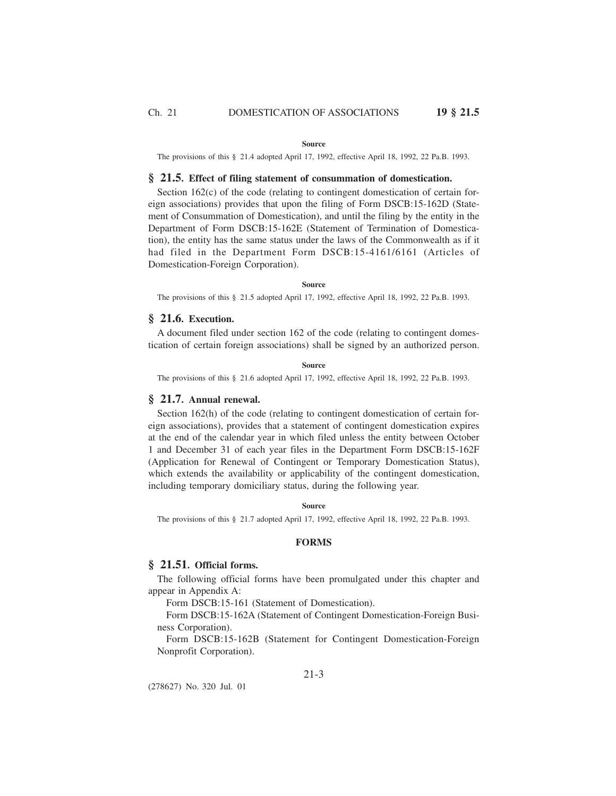#### **Source**

The provisions of this § 21.4 adopted April 17, 1992, effective April 18, 1992, 22 Pa.B. 1993.

### **§ 21.5. Effect of filing statement of consummation of domestication.**

Section 162(c) of the code (relating to contingent domestication of certain foreign associations) provides that upon the filing of Form DSCB:15-162D (Statement of Consummation of Domestication), and until the filing by the entity in the Department of Form DSCB:15-162E (Statement of Termination of Domestication), the entity has the same status under the laws of the Commonwealth as if it had filed in the Department Form DSCB:15-4161/6161 (Articles of Domestication-Foreign Corporation).

## **Source**

The provisions of this § 21.5 adopted April 17, 1992, effective April 18, 1992, 22 Pa.B. 1993.

## **§ 21.6. Execution.**

A document filed under section 162 of the code (relating to contingent domestication of certain foreign associations) shall be signed by an authorized person.

### **Source**

The provisions of this § 21.6 adopted April 17, 1992, effective April 18, 1992, 22 Pa.B. 1993.

## **§ 21.7. Annual renewal.**

Section 162(h) of the code (relating to contingent domestication of certain foreign associations), provides that a statement of contingent domestication expires at the end of the calendar year in which filed unless the entity between October 1 and December 31 of each year files in the Department Form DSCB:15-162F (Application for Renewal of Contingent or Temporary Domestication Status), which extends the availability or applicability of the contingent domestication, including temporary domiciliary status, during the following year.

#### **Source**

The provisions of this § 21.7 adopted April 17, 1992, effective April 18, 1992, 22 Pa.B. 1993.

### **FORMS**

# **§ 21.51. Official forms.**

The following official forms have been promulgated under this chapter and appear in Appendix A:

Form DSCB:15-161 (Statement of Domestication).

Form DSCB:15-162A (Statement of Contingent Domestication-Foreign Business Corporation).

Form DSCB:15-162B (Statement for Contingent Domestication-Foreign Nonprofit Corporation).

(278627) No. 320 Jul. 01